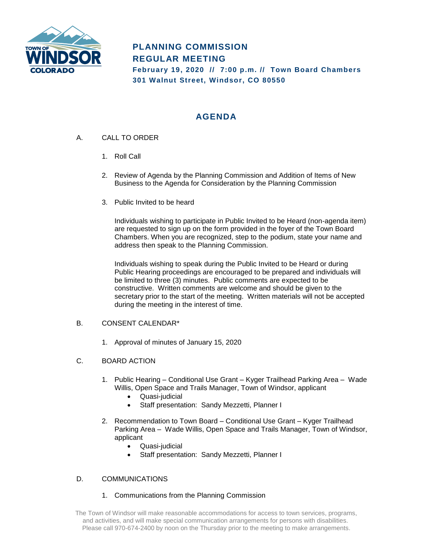

# **PLANNING COMMISSION REGULAR MEETING**

**February 19, 2020 // 7:00 p.m. // Town Board Chambers 301 Walnut Street, Windsor, CO 80550**

# **AGENDA**

- A. CALL TO ORDER
	- 1. Roll Call
	- 2. Review of Agenda by the Planning Commission and Addition of Items of New Business to the Agenda for Consideration by the Planning Commission
	- 3. Public Invited to be heard

Individuals wishing to participate in Public Invited to be Heard (non-agenda item) are requested to sign up on the form provided in the foyer of the Town Board Chambers. When you are recognized, step to the podium, state your name and address then speak to the Planning Commission.

Individuals wishing to speak during the Public Invited to be Heard or during Public Hearing proceedings are encouraged to be prepared and individuals will be limited to three (3) minutes. Public comments are expected to be constructive. Written comments are welcome and should be given to the secretary prior to the start of the meeting. Written materials will not be accepted during the meeting in the interest of time.

## B. CONSENT CALENDAR\*

1. Approval of minutes of January 15, 2020

## C. BOARD ACTION

- 1. Public Hearing Conditional Use Grant Kyger Trailhead Parking Area Wade Willis, Open Space and Trails Manager, Town of Windsor, applicant
	- Quasi-judicial
	- Staff presentation: Sandy Mezzetti, Planner I
- 2. Recommendation to Town Board Conditional Use Grant Kyger Trailhead Parking Area – Wade Willis, Open Space and Trails Manager, Town of Windsor, applicant
	- Quasi-judicial
	- Staff presentation: Sandy Mezzetti, Planner I

## D. COMMUNICATIONS

#### 1. Communications from the Planning Commission

The Town of Windsor will make reasonable accommodations for access to town services, programs, and activities, and will make special communication arrangements for persons with disabilities. Please call 970-674-2400 by noon on the Thursday prior to the meeting to make arrangements.